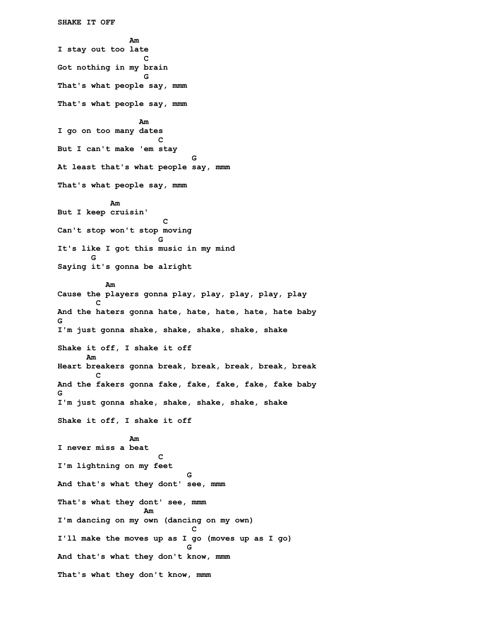**Am** I stay out too late **C C** Got nothing in my brain **GREET CONSTRUCTS** That's what people say, mmm That's what people say, mmm Am I go on too many dates **C** C But I can't make 'em stay **GREET CONTRACTS** At least that's what people say, mmm That's what people say, mmm Am But I keep cruisin' **C** C Can't stop won't stop moving **GREET CONSTRUCTS** It's like I got this music in my mind **G** Saying it's gonna be alright Am Cause the players gonna play, play, play, play, play **C** C And the haters gonna hate, hate, hate, hate, hate baby G I'm just gonna shake, shake, shake, shake, shake Shake it off, I shake it off Am Heart breakers gonna break, break, break, break, break **C** And the fakers gonna fake, fake, fake, fake, fake baby G I'm just gonna shake, shake, shake, shake, shake Shake it off, I shake it off **Am** I never miss a beat **C** C I'm lightning on my feet **GREET CONTRACTS** And that's what they dont' see, mmm That's what they dont' see, mmm **American Structure American Structure American Structure American Structure American Structure American Structure American Structure American Structure American Structure American Structure American Structure American Str** I'm dancing on my own (dancing on my own) **C C** I'll make the moves up as I go (moves up as I go) **Green Contracts** And that's what they don't know, mmm That's what they don't know, mmm

SHAKE IT OFF